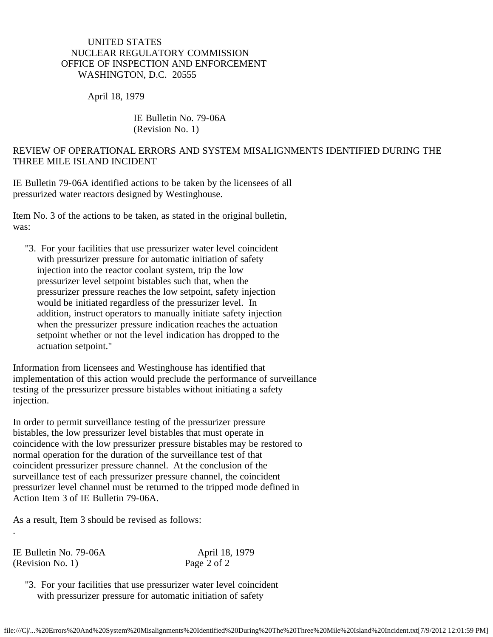## UNITED STATES NUCLEAR REGULATORY COMMISSION OFFICE OF INSPECTION AND ENFORCEMENT WASHINGTON, D.C. 20555

April 18, 1979

## IE Bulletin No. 79-06A (Revision No. 1)

## REVIEW OF OPERATIONAL ERRORS AND SYSTEM MISALIGNMENTS IDENTIFIED DURING THE THREE MILE ISLAND INCIDENT

IE Bulletin 79-06A identified actions to be taken by the licensees of all pressurized water reactors designed by Westinghouse.

Item No. 3 of the actions to be taken, as stated in the original bulletin, was:

 "3. For your facilities that use pressurizer water level coincident with pressurizer pressure for automatic initiation of safety injection into the reactor coolant system, trip the low pressurizer level setpoint bistables such that, when the pressurizer pressure reaches the low setpoint, safety injection would be initiated regardless of the pressurizer level. In addition, instruct operators to manually initiate safety injection when the pressurizer pressure indication reaches the actuation setpoint whether or not the level indication has dropped to the actuation setpoint."

Information from licensees and Westinghouse has identified that implementation of this action would preclude the performance of surveillance testing of the pressurizer pressure bistables without initiating a safety injection.

In order to permit surveillance testing of the pressurizer pressure bistables, the low pressurizer level bistables that must operate in coincidence with the low pressurizer pressure bistables may be restored to normal operation for the duration of the surveillance test of that coincident pressurizer pressure channel. At the conclusion of the surveillance test of each pressurizer pressure channel, the coincident pressurizer level channel must be returned to the tripped mode defined in Action Item 3 of IE Bulletin 79-06A.

As a result, Item 3 should be revised as follows:

IE Bulletin No. 79-06A April 18, 1979<br>(Revision No. 1) Page 2 of 2  $(Revision No. 1)$ 

.

 "3. For your facilities that use pressurizer water level coincident with pressurizer pressure for automatic initiation of safety